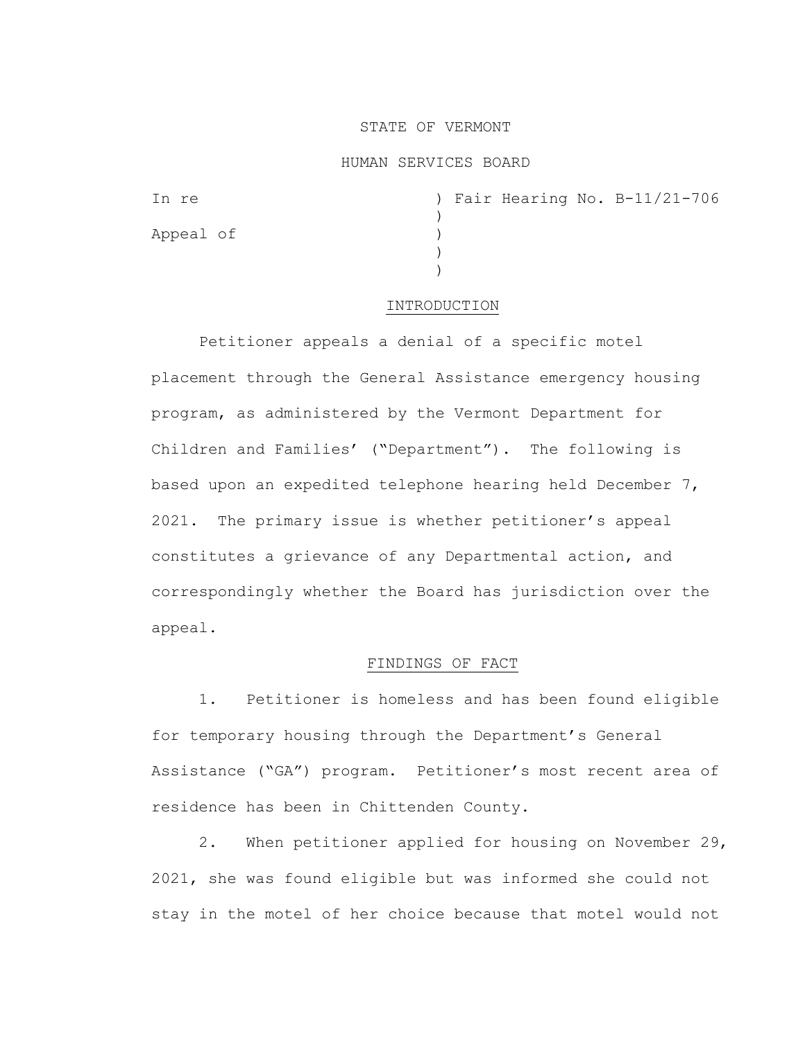### STATE OF VERMONT

### HUMAN SERVICES BOARD

| In re     |  |  | ) Fair Hearing No. B-11/21-706 |
|-----------|--|--|--------------------------------|
|           |  |  |                                |
| Appeal of |  |  |                                |
|           |  |  |                                |
|           |  |  |                                |

#### INTRODUCTION

Petitioner appeals a denial of a specific motel placement through the General Assistance emergency housing program, as administered by the Vermont Department for Children and Families' ("Department"). The following is based upon an expedited telephone hearing held December 7, 2021. The primary issue is whether petitioner's appeal constitutes a grievance of any Departmental action, and correspondingly whether the Board has jurisdiction over the appeal.

# FINDINGS OF FACT

1. Petitioner is homeless and has been found eligible for temporary housing through the Department's General Assistance ("GA") program. Petitioner's most recent area of residence has been in Chittenden County.

2. When petitioner applied for housing on November 29, 2021, she was found eligible but was informed she could not stay in the motel of her choice because that motel would not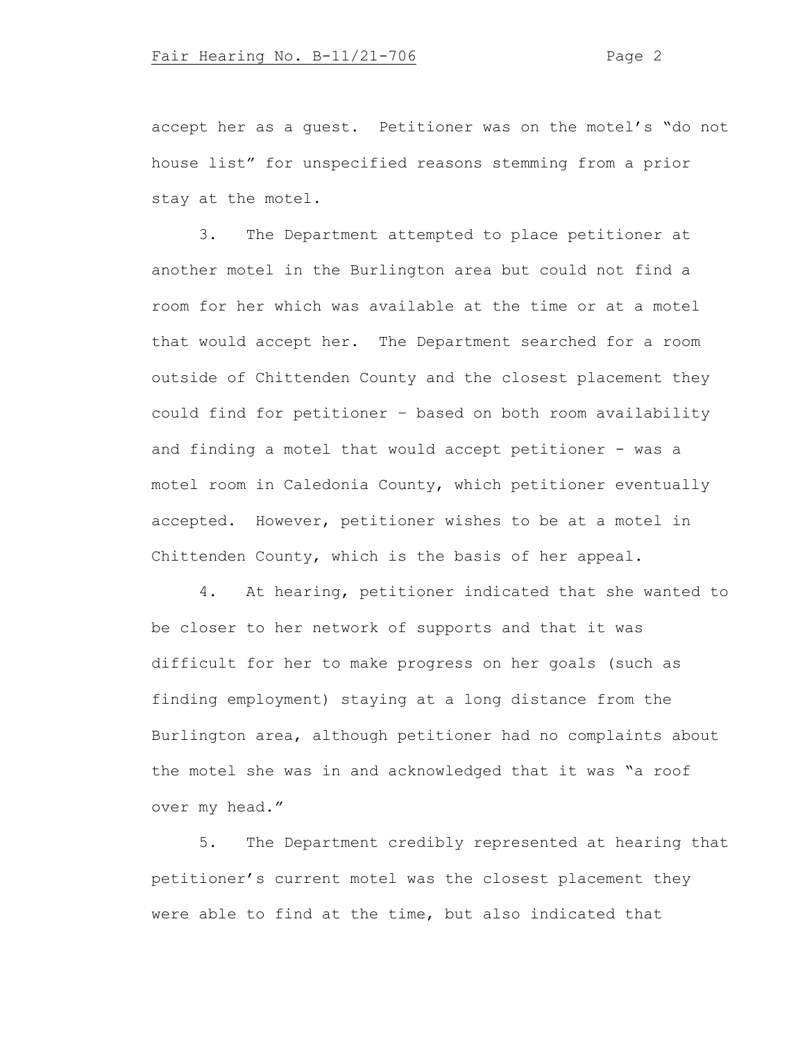accept her as a guest. Petitioner was on the motel's "do not house list" for unspecified reasons stemming from a prior stay at the motel.

3. The Department attempted to place petitioner at another motel in the Burlington area but could not find a room for her which was available at the time or at a motel that would accept her. The Department searched for a room outside of Chittenden County and the closest placement they could find for petitioner – based on both room availability and finding a motel that would accept petitioner - was a motel room in Caledonia County, which petitioner eventually accepted. However, petitioner wishes to be at a motel in Chittenden County, which is the basis of her appeal.

4. At hearing, petitioner indicated that she wanted to be closer to her network of supports and that it was difficult for her to make progress on her goals (such as finding employment) staying at a long distance from the Burlington area, although petitioner had no complaints about the motel she was in and acknowledged that it was "a roof over my head."

5. The Department credibly represented at hearing that petitioner's current motel was the closest placement they were able to find at the time, but also indicated that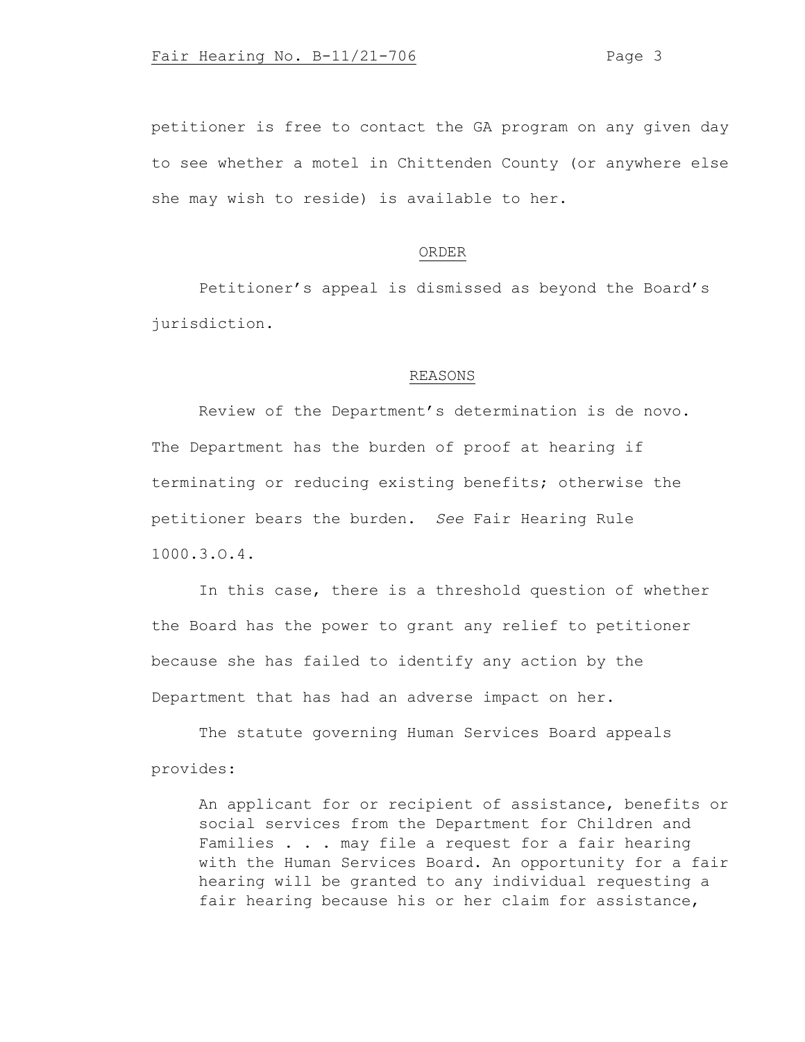petitioner is free to contact the GA program on any given day to see whether a motel in Chittenden County (or anywhere else she may wish to reside) is available to her.

# ORDER

Petitioner's appeal is dismissed as beyond the Board's jurisdiction.

#### REASONS

Review of the Department's determination is de novo. The Department has the burden of proof at hearing if terminating or reducing existing benefits; otherwise the petitioner bears the burden. *See* Fair Hearing Rule 1000.3.O.4.

In this case, there is a threshold question of whether the Board has the power to grant any relief to petitioner because she has failed to identify any action by the Department that has had an adverse impact on her.

The statute governing Human Services Board appeals provides:

An applicant for or recipient of assistance, benefits or social services from the Department for Children and Families . . . may file a request for a fair hearing with the Human Services Board. An opportunity for a fair hearing will be granted to any individual requesting a fair hearing because his or her claim for assistance,